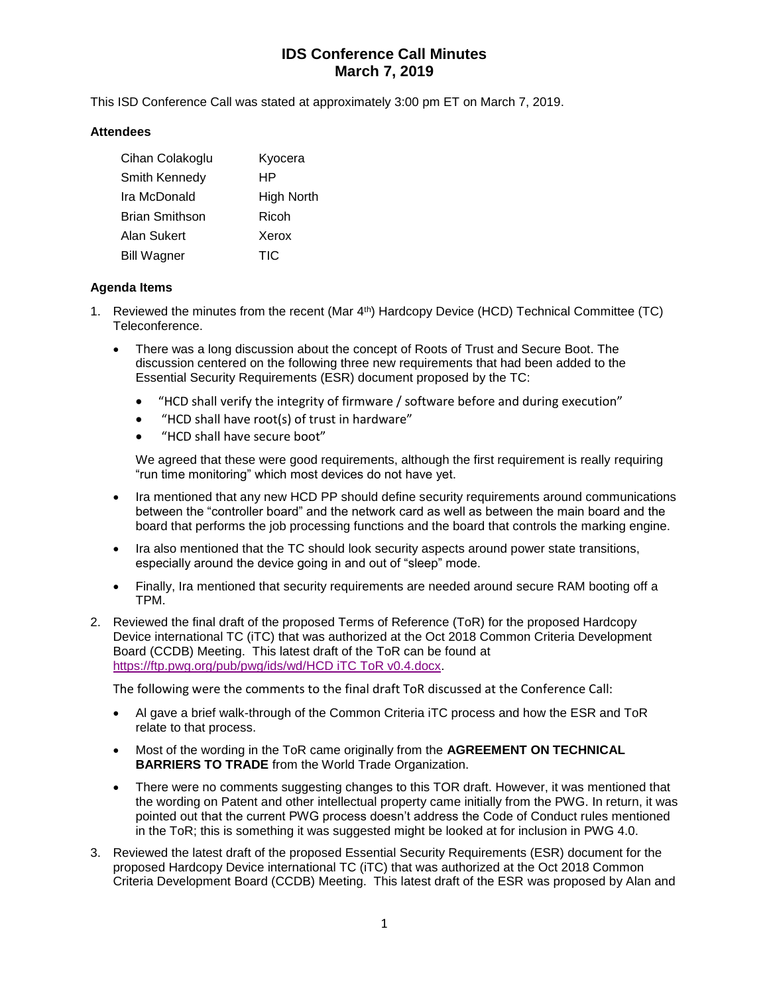# **IDS Conference Call Minutes March 7, 2019**

This ISD Conference Call was stated at approximately 3:00 pm ET on March 7, 2019.

## **Attendees**

| Cihan Colakoglu       | Kyocera    |
|-----------------------|------------|
| Smith Kennedy         | HP         |
| Ira McDonald          | High North |
| <b>Brian Smithson</b> | Ricoh      |
| Alan Sukert           | Xerox      |
| <b>Bill Wagner</b>    | TIC        |

## **Agenda Items**

- 1. Reviewed the minutes from the recent (Mar 4th) Hardcopy Device (HCD) Technical Committee (TC) Teleconference.
	- There was a long discussion about the concept of Roots of Trust and Secure Boot. The discussion centered on the following three new requirements that had been added to the Essential Security Requirements (ESR) document proposed by the TC:
		- "HCD shall verify the integrity of firmware / software before and during execution"
		- "HCD shall have root(s) of trust in hardware"
		- "HCD shall have secure boot"

We agreed that these were good requirements, although the first requirement is really requiring "run time monitoring" which most devices do not have yet.

- Ira mentioned that any new HCD PP should define security requirements around communications between the "controller board" and the network card as well as between the main board and the board that performs the job processing functions and the board that controls the marking engine.
- Ira also mentioned that the TC should look security aspects around power state transitions, especially around the device going in and out of "sleep" mode.
- Finally, Ira mentioned that security requirements are needed around secure RAM booting off a TPM.
- 2. Reviewed the final draft of the proposed Terms of Reference (ToR) for the proposed Hardcopy Device international TC (iTC) that was authorized at the Oct 2018 Common Criteria Development Board (CCDB) Meeting. This latest draft of the ToR can be found at [https://ftp.pwg.org/pub/pwg/ids/wd/HCD iTC ToR v0.4.docx.](https://ftp.pwg.org/pub/pwg/ids/wd/HCD%20iTC%20ToR%20v0.4.docx)

The following were the comments to the final draft ToR discussed at the Conference Call:

- Al gave a brief walk-through of the Common Criteria iTC process and how the ESR and ToR relate to that process.
- Most of the wording in the ToR came originally from the **AGREEMENT ON TECHNICAL BARRIERS TO TRADE** from the World Trade Organization.
- There were no comments suggesting changes to this TOR draft. However, it was mentioned that the wording on Patent and other intellectual property came initially from the PWG. In return, it was pointed out that the current PWG process doesn't address the Code of Conduct rules mentioned in the ToR; this is something it was suggested might be looked at for inclusion in PWG 4.0.
- 3. Reviewed the latest draft of the proposed Essential Security Requirements (ESR) document for the proposed Hardcopy Device international TC (iTC) that was authorized at the Oct 2018 Common Criteria Development Board (CCDB) Meeting. This latest draft of the ESR was proposed by Alan and